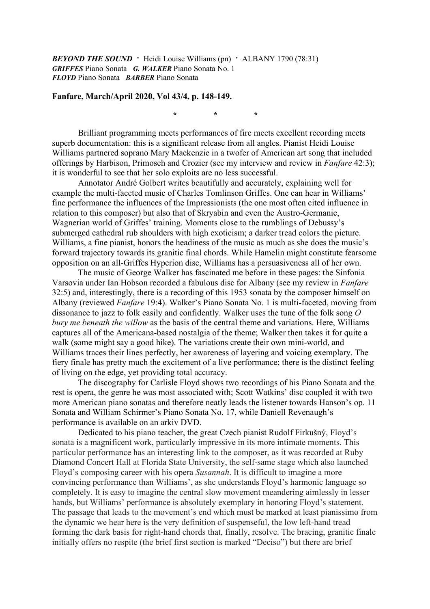*BEYOND THE SOUND* **·** Heidi Louise Williams (pn) **·** ALBANY 1790 (78:31) *GRIFFES* Piano Sonata *G. WALKER* Piano Sonata No. 1 *FLOYD* Piano Sonata *BARBER* Piano Sonata

## **Fanfare, March/April 2020, Vol 43/4, p. 148-149.**

*\* \* \**

Brilliant programming meets performances of fire meets excellent recording meets superb documentation: this is a significant release from all angles. Pianist Heidi Louise Williams partnered soprano Mary Mackenzie in a twofer of American art song that included offerings by Harbison, Primosch and Crozier (see my interview and review in *Fanfare* 42:3); it is wonderful to see that her solo exploits are no less successful.

Annotator André Golbert writes beautifully and accurately, explaining well for example the multi-faceted music of Charles Tomlinson Griffes. One can hear in Williams' fine performance the influences of the Impressionists (the one most often cited influence in relation to this composer) but also that of Skryabin and even the Austro-Germanic, Wagnerian world of Griffes' training. Moments close to the rumblings of Debussy's submerged cathedral rub shoulders with high exoticism; a darker tread colors the picture. Williams, a fine pianist, honors the headiness of the music as much as she does the music's forward trajectory towards its granitic final chords. While Hamelin might constitute fearsome opposition on an all-Griffes Hyperion disc, Williams has a persuasiveness all of her own.

The music of George Walker has fascinated me before in these pages: the Sinfonia Varsovia under Ian Hobson recorded a fabulous disc for Albany (see my review in *Fanfare* 32:5) and, interestingly, there is a recording of this 1953 sonata by the composer himself on Albany (reviewed *Fanfare* 19:4). Walker's Piano Sonata No. 1 is multi-faceted, moving from dissonance to jazz to folk easily and confidently. Walker uses the tune of the folk song *O bury me beneath the willow* as the basis of the central theme and variations. Here, Williams captures all of the Americana-based nostalgia of the theme; Walker then takes it for quite a walk (some might say a good hike). The variations create their own mini-world, and Williams traces their lines perfectly, her awareness of layering and voicing exemplary. The fiery finale has pretty much the excitement of a live performance; there is the distinct feeling of living on the edge, yet providing total accuracy.

The discography for Carlisle Floyd shows two recordings of his Piano Sonata and the rest is opera, the genre he was most associated with; Scott Watkins' disc coupled it with two more American piano sonatas and therefore neatly leads the listener towards Hanson's op. 11 Sonata and William Schirmer's Piano Sonata No. 17, while Daniell Revenaugh's performance is available on an arkiv DVD.

Dedicated to his piano teacher, the great Czech pianist Rudolf Firkušný, Floyd's sonata is a magnificent work, particularly impressive in its more intimate moments. This particular performance has an interesting link to the composer, as it was recorded at Ruby Diamond Concert Hall at Florida State University, the self-same stage which also launched Floyd's composing career with his opera *Susannah*. It is difficult to imagine a more convincing performance than Williams', as she understands Floyd's harmonic language so completely. It is easy to imagine the central slow movement meandering aimlessly in lesser hands, but Williams' performance is absolutely exemplary in honoring Floyd's statement. The passage that leads to the movement's end which must be marked at least pianissimo from the dynamic we hear here is the very definition of suspenseful, the low left-hand tread forming the dark basis for right-hand chords that, finally, resolve. The bracing, granitic finale initially offers no respite (the brief first section is marked "Deciso") but there are brief